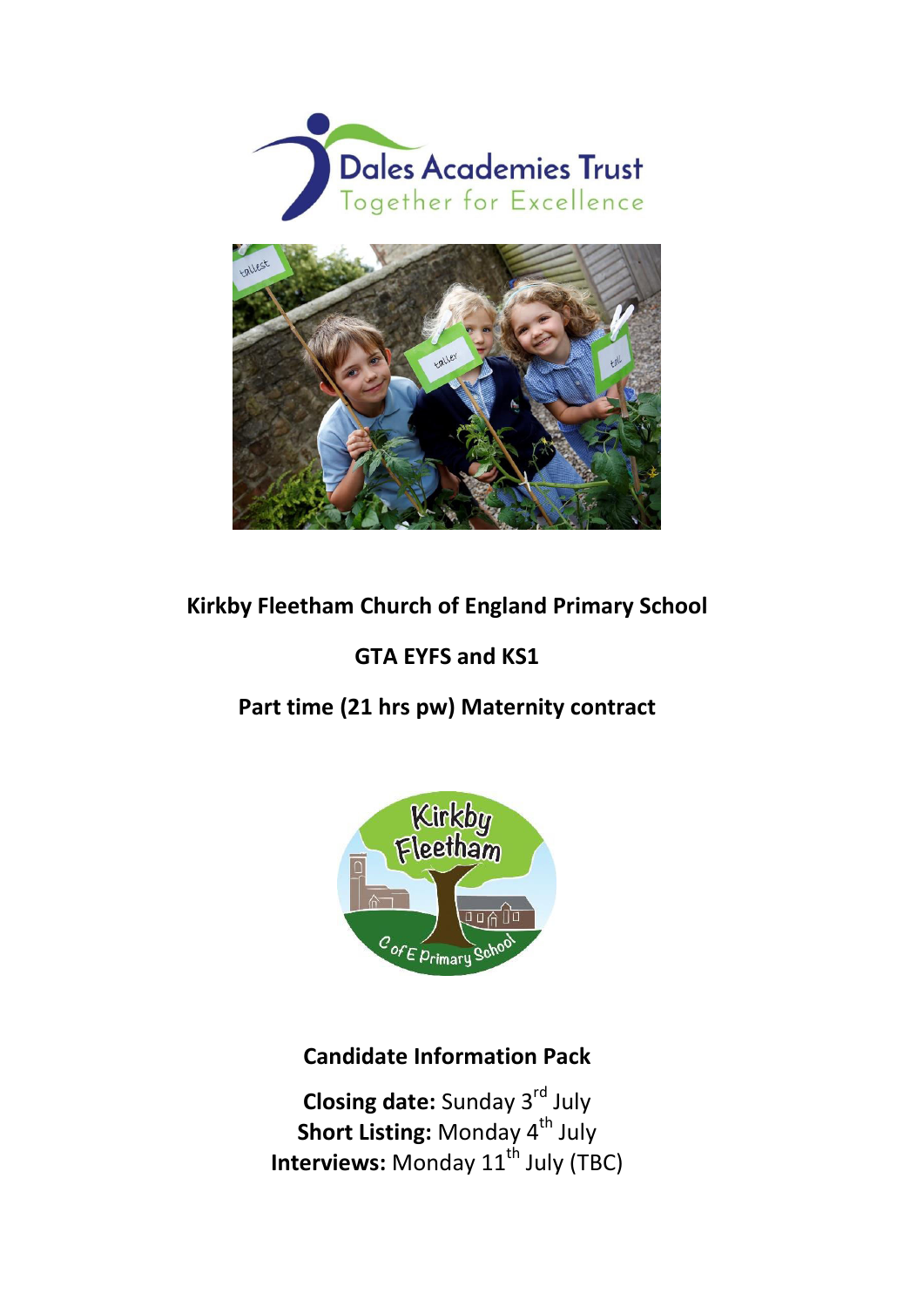



## **Kirkby Fleetham Church of England Primary School**

# **GTA EYFS and KS1**

# **Part time (21 hrs pw) Maternity contract**



# **Candidate Information Pack**

**Closing date:** Sunday 3<sup>rd</sup> July **Short Listing: Monday 4<sup>th</sup> July Interviews:** Monday 11<sup>th</sup> July (TBC)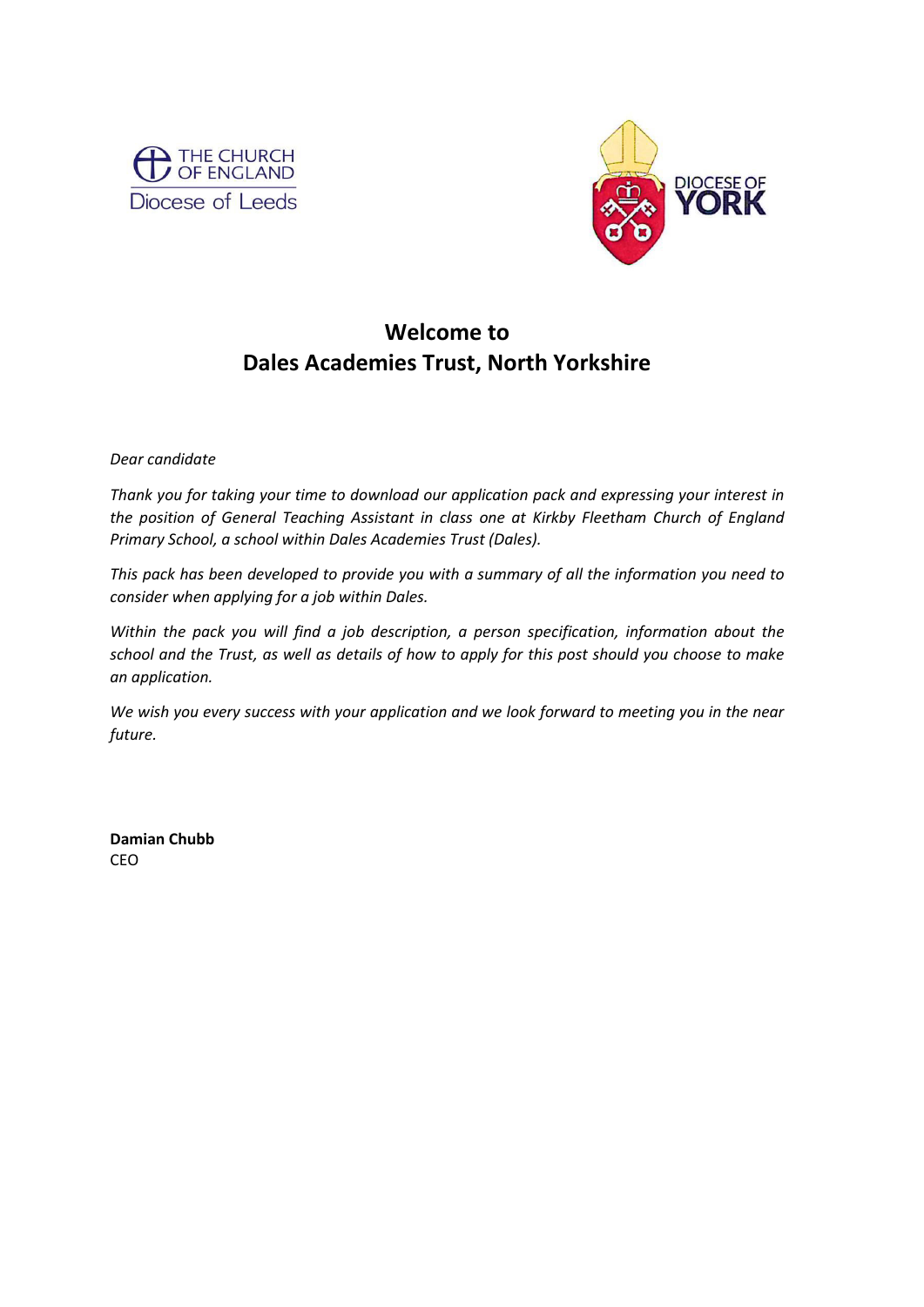



# **Welcome to Dales Academies Trust, North Yorkshire**

*Dear candidate* 

*Thank you for taking your time to download our application pack and expressing your interest in the position of General Teaching Assistant in class one at Kirkby Fleetham Church of England Primary School, a school within Dales Academies Trust (Dales).* 

*This pack has been developed to provide you with a summary of all the information you need to consider when applying for a job within Dales.* 

*Within the pack you will find a job description, a person specification, information about the school and the Trust, as well as details of how to apply for this post should you choose to make an application.* 

*We wish you every success with your application and we look forward to meeting you in the near future.* 

**Damian Chubb**  CEO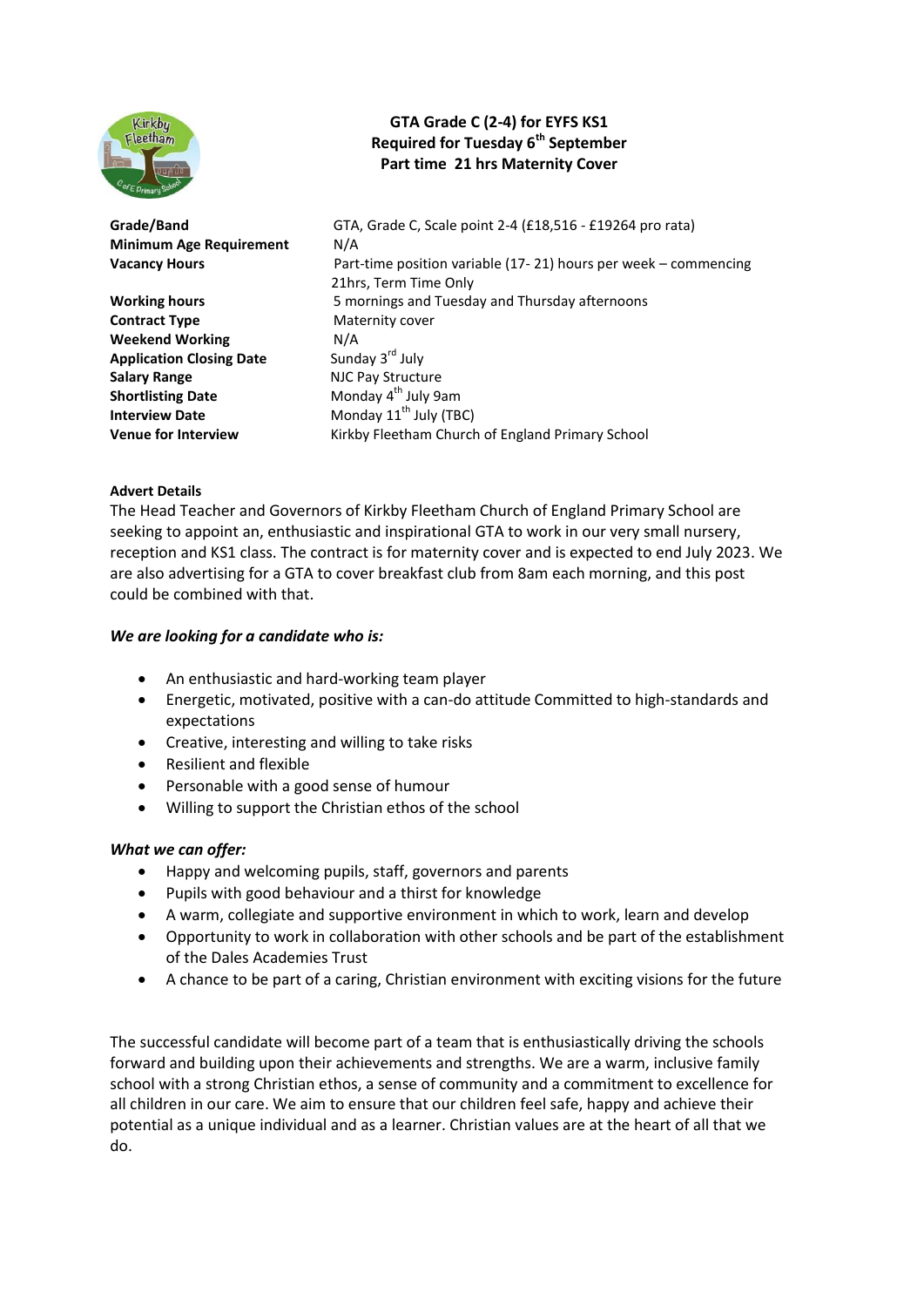

### **GTA Grade C (2-4) for EYFS KS1 Required for Tuesday 6th September Part time 21 hrs Maternity Cover**

**Minimum Age Requirement** N/A

**Contract Type** Maternity cover **Weekend Working N/A**<br> **Application Closing Date Sunday 3<sup>rd</sup> July Application Closing Date Salary Range Salary Range Accord Pay Structure Shortlisting Date Monday 4<sup>th</sup> July 9am Interview Date Monday 11<sup>th</sup> July (TBC)** 

**Grade/Band** GTA, Grade C, Scale point 2-4 (£18,516 - £19264 pro rata) **Vacancy Hours** Part-time position variable (17- 21) hours per week – commencing 21hrs, Term Time Only **Working hours** 5 mornings and Tuesday and Thursday afternoons **Venue for Interview <b>Kirkby Fleetham Church of England Primary School** 

#### **Advert Details**

The Head Teacher and Governors of Kirkby Fleetham Church of England Primary School are seeking to appoint an, enthusiastic and inspirational GTA to work in our very small nursery, reception and KS1 class. The contract is for maternity cover and is expected to end July 2023. We are also advertising for a GTA to cover breakfast club from 8am each morning, and this post could be combined with that.

#### *We are looking for a candidate who is:*

- An enthusiastic and hard-working team player
- Energetic, motivated, positive with a can-do attitude Committed to high-standards and expectations
- Creative, interesting and willing to take risks
- Resilient and flexible
- Personable with a good sense of humour
- Willing to support the Christian ethos of the school

#### *What we can offer:*

- Happy and welcoming pupils, staff, governors and parents
- Pupils with good behaviour and a thirst for knowledge
- A warm, collegiate and supportive environment in which to work, learn and develop
- Opportunity to work in collaboration with other schools and be part of the establishment of the Dales Academies Trust
- A chance to be part of a caring, Christian environment with exciting visions for the future

The successful candidate will become part of a team that is enthusiastically driving the schools forward and building upon their achievements and strengths. We are a warm, inclusive family school with a strong Christian ethos, a sense of community and a commitment to excellence for all children in our care. We aim to ensure that our children feel safe, happy and achieve their potential as a unique individual and as a learner. Christian values are at the heart of all that we do.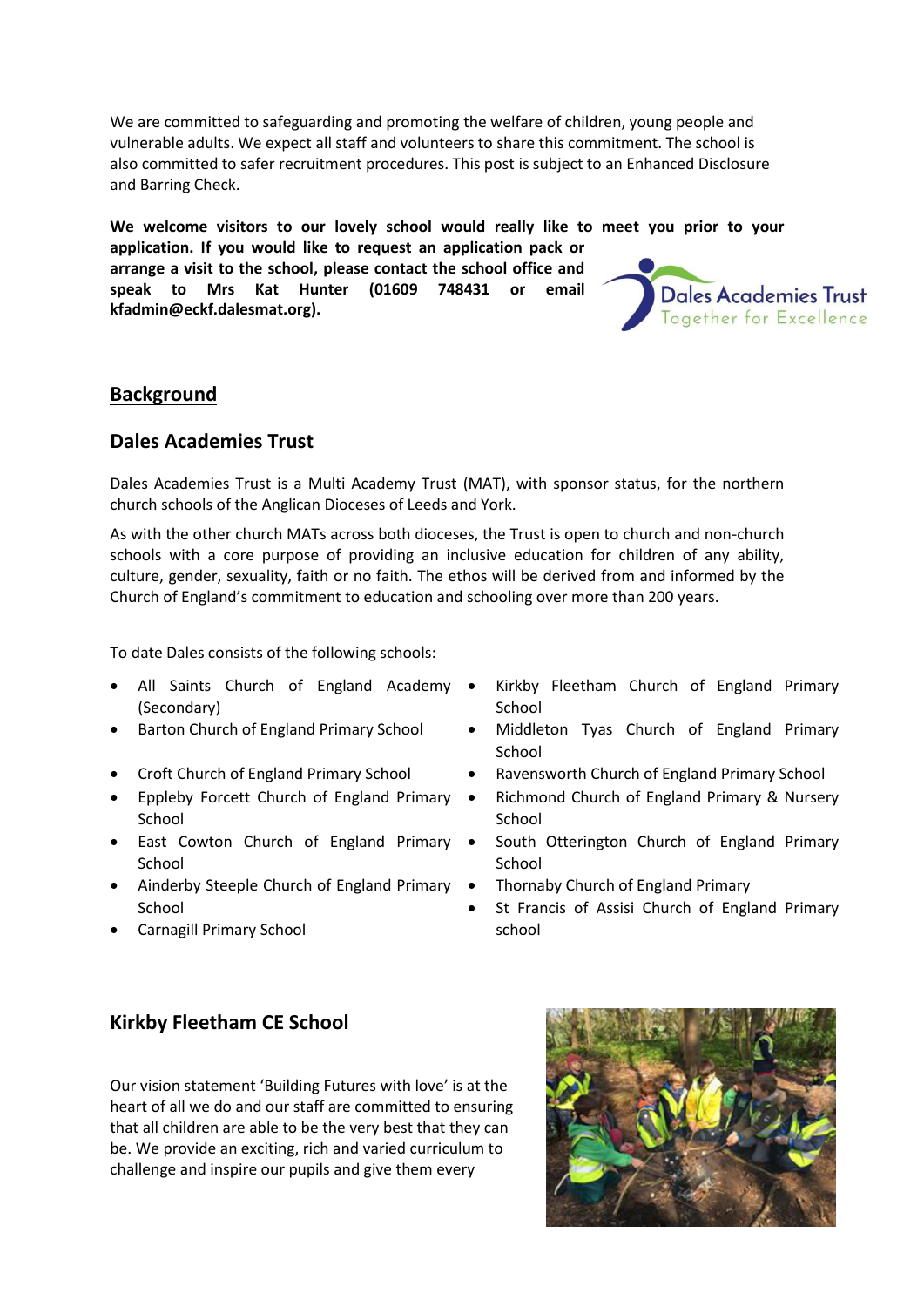We are committed to safeguarding and promoting the welfare of children, young people and vulnerable adults. We expect all staff and volunteers to share this commitment. The school is also committed to safer recruitment procedures. This post is subject to an Enhanced Disclosure and Barring Check.

**We welcome visitors to our lovely school would really like to meet you prior to your** 

**application. If you would like to request an application pack or arrange a visit to the school, please contact the school office and speak to Mrs Kat Hunter (01609 748431 or email kfadmin@eckf.dalesmat.org).** 



### **Background**

### **Dales Academies Trust**

Dales Academies Trust is a Multi Academy Trust (MAT), with sponsor status, for the northern church schools of the Anglican Dioceses of Leeds and York.

As with the other church MATs across both dioceses, the Trust is open to church and non-church schools with a core purpose of providing an inclusive education for children of any ability, culture, gender, sexuality, faith or no faith. The ethos will be derived from and informed by the Church of England's commitment to education and schooling over more than 200 years.

To date Dales consists of the following schools:

- All Saints Church of England Academy . (Secondary)
- 
- 
- Eppleby Forcett Church of England Primary School
- East Cowton Church of England Primary School
- Ainderby Steeple Church of England Primary School
- Carnagill Primary School
- Kirkby Fleetham Church of England Primary **School**
- Barton Church of England Primary School Middleton Tyas Church of England Primary School
- Croft Church of England Primary School Ravensworth Church of England Primary School
	- Richmond Church of England Primary & Nursery School
	- South Otterington Church of England Primary **School**
	- Thornaby Church of England Primary
	- St Francis of Assisi Church of England Primary school

### **Kirkby Fleetham CE School**

Our vision statement 'Building Futures with love' is at the heart of all we do and our staff are committed to ensuring that all children are able to be the very best that they can be. We provide an exciting, rich and varied curriculum to challenge and inspire our pupils and give them every

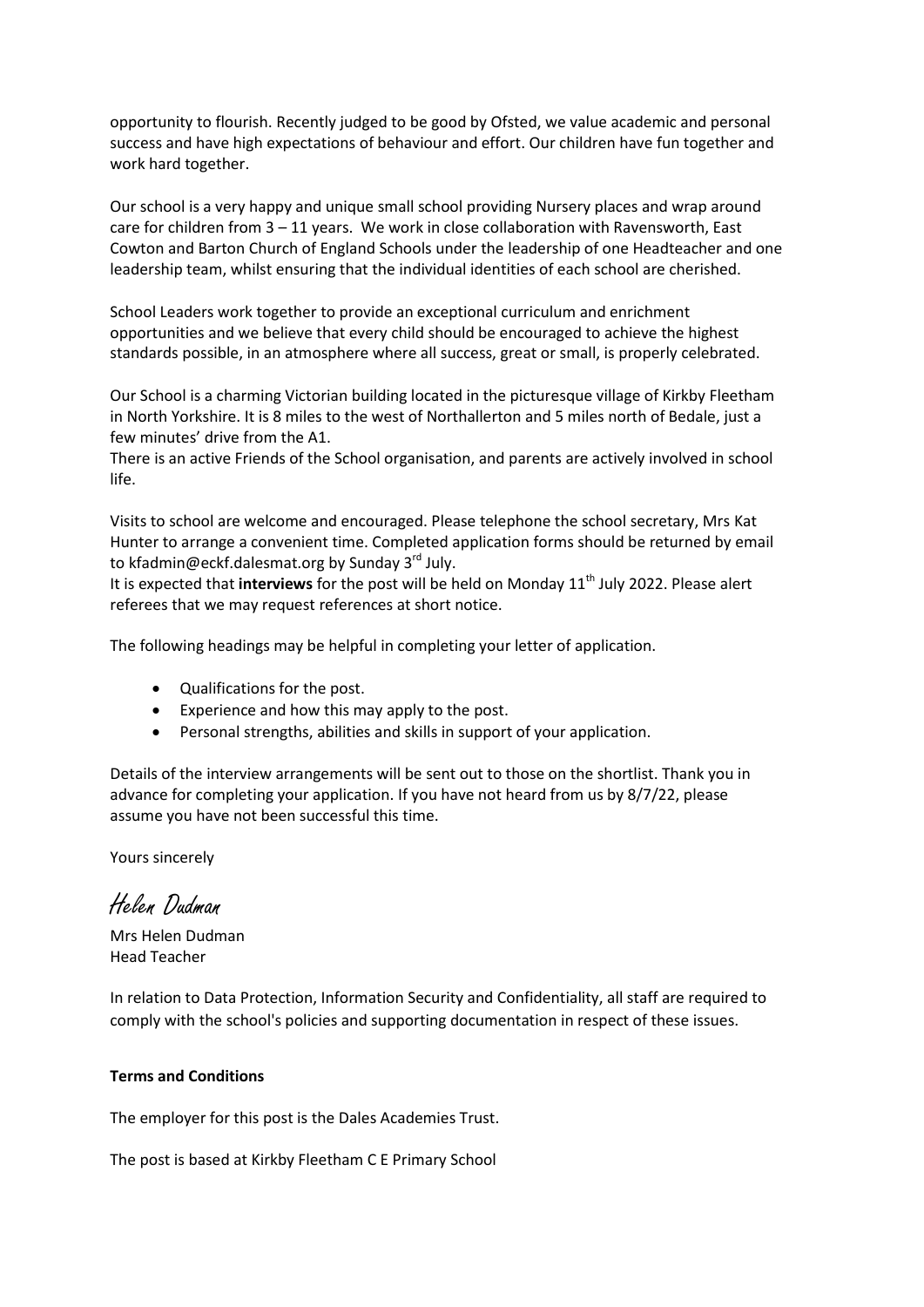opportunity to flourish. Recently judged to be good by Ofsted, we value academic and personal success and have high expectations of behaviour and effort. Our children have fun together and work hard together.

Our school is a very happy and unique small school providing Nursery places and wrap around care for children from 3 – 11 years. We work in close collaboration with Ravensworth, East Cowton and Barton Church of England Schools under the leadership of one Headteacher and one leadership team, whilst ensuring that the individual identities of each school are cherished.

School Leaders work together to provide an exceptional curriculum and enrichment opportunities and we believe that every child should be encouraged to achieve the highest standards possible, in an atmosphere where all success, great or small, is properly celebrated.

Our School is a charming Victorian building located in the picturesque village of Kirkby Fleetham in North Yorkshire. It is 8 miles to the west of Northallerton and 5 miles north of Bedale, just a few minutes' drive from the A1.

There is an active Friends of the School organisation, and parents are actively involved in school life.

Visits to school are welcome and encouraged. Please telephone the school secretary, Mrs Kat Hunter to arrange a convenient time. Completed application forms should be returned by email to kfadmin@eckf.dalesmat.org by Sunday 3<sup>rd</sup> July.

It is expected that *interviews* for the post will be held on Monday 11<sup>th</sup> July 2022. Please alert referees that we may request references at short notice.

The following headings may be helpful in completing your letter of application.

- Qualifications for the post.
- Experience and how this may apply to the post.
- Personal strengths, abilities and skills in support of your application.

Details of the interview arrangements will be sent out to those on the shortlist. Thank you in advance for completing your application. If you have not heard from us by 8/7/22, please assume you have not been successful this time.

Yours sincerely

Helen Dudman

Mrs Helen Dudman Head Teacher

In relation to Data Protection, Information Security and Confidentiality, all staff are required to comply with the school's policies and supporting documentation in respect of these issues.

#### **Terms and Conditions**

The employer for this post is the Dales Academies Trust.

The post is based at Kirkby Fleetham C E Primary School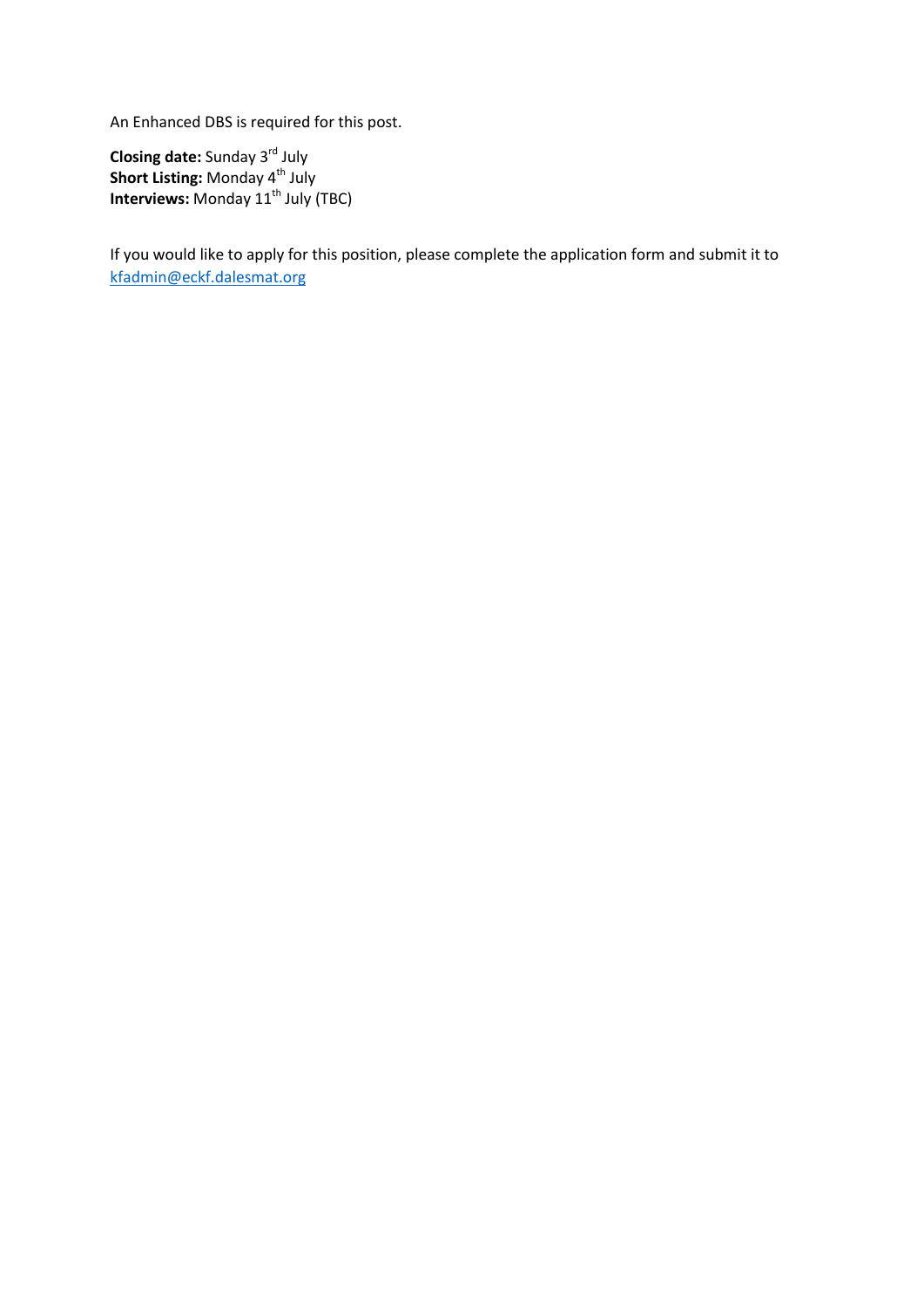An Enhanced DBS is required for this post.

**Closing date:** Sunday 3rd July **Short Listing: Monday 4<sup>th</sup> July Interviews:** Monday 11<sup>th</sup> July (TBC)

If you would like to apply for this position, please complete the application form and submit it to [kfadmin@eckf.dalesmat.org](mailto:kfadmin@eckf.dalesmat.org)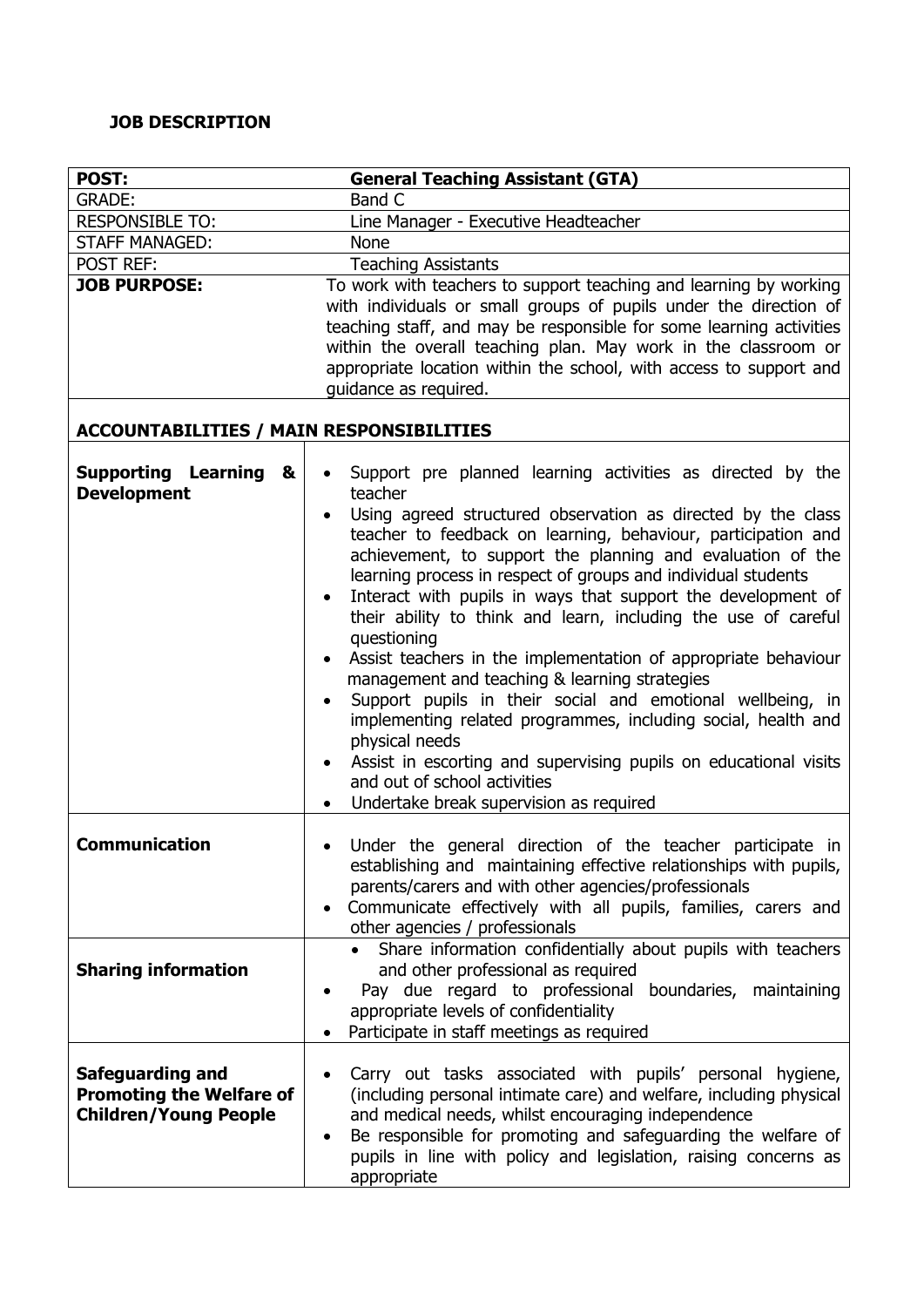### **JOB DESCRIPTION**

| POST:                                                                                      | <b>General Teaching Assistant (GTA)</b>                                                                                                                                                                                                                                                                                                                                                                                                                                                                                                                                                                                                                                                                                                                                                                                                                                                                   |  |  |  |
|--------------------------------------------------------------------------------------------|-----------------------------------------------------------------------------------------------------------------------------------------------------------------------------------------------------------------------------------------------------------------------------------------------------------------------------------------------------------------------------------------------------------------------------------------------------------------------------------------------------------------------------------------------------------------------------------------------------------------------------------------------------------------------------------------------------------------------------------------------------------------------------------------------------------------------------------------------------------------------------------------------------------|--|--|--|
| <b>GRADE:</b>                                                                              | Band C                                                                                                                                                                                                                                                                                                                                                                                                                                                                                                                                                                                                                                                                                                                                                                                                                                                                                                    |  |  |  |
| <b>RESPONSIBLE TO:</b>                                                                     | Line Manager - Executive Headteacher                                                                                                                                                                                                                                                                                                                                                                                                                                                                                                                                                                                                                                                                                                                                                                                                                                                                      |  |  |  |
| <b>STAFF MANAGED:</b>                                                                      | <b>None</b>                                                                                                                                                                                                                                                                                                                                                                                                                                                                                                                                                                                                                                                                                                                                                                                                                                                                                               |  |  |  |
| <b>POST REF:</b>                                                                           | <b>Teaching Assistants</b>                                                                                                                                                                                                                                                                                                                                                                                                                                                                                                                                                                                                                                                                                                                                                                                                                                                                                |  |  |  |
| <b>JOB PURPOSE:</b>                                                                        | To work with teachers to support teaching and learning by working<br>with individuals or small groups of pupils under the direction of<br>teaching staff, and may be responsible for some learning activities<br>within the overall teaching plan. May work in the classroom or<br>appropriate location within the school, with access to support and<br>guidance as required.                                                                                                                                                                                                                                                                                                                                                                                                                                                                                                                            |  |  |  |
| <b>ACCOUNTABILITIES / MAIN RESPONSIBILITIES</b>                                            |                                                                                                                                                                                                                                                                                                                                                                                                                                                                                                                                                                                                                                                                                                                                                                                                                                                                                                           |  |  |  |
| <b>Supporting Learning</b><br>&<br><b>Development</b>                                      | Support pre planned learning activities as directed by the<br>teacher<br>Using agreed structured observation as directed by the class<br>teacher to feedback on learning, behaviour, participation and<br>achievement, to support the planning and evaluation of the<br>learning process in respect of groups and individual students<br>Interact with pupils in ways that support the development of<br>their ability to think and learn, including the use of careful<br>questioning<br>Assist teachers in the implementation of appropriate behaviour<br>management and teaching & learning strategies<br>Support pupils in their social and emotional wellbeing, in<br>implementing related programmes, including social, health and<br>physical needs<br>Assist in escorting and supervising pupils on educational visits<br>and out of school activities<br>Undertake break supervision as required |  |  |  |
| <b>Communication</b>                                                                       | • Under the general direction of the teacher participate in<br>establishing and maintaining effective relationships with pupils,<br>parents/carers and with other agencies/professionals<br>Communicate effectively with all pupils, families, carers and<br>other agencies / professionals                                                                                                                                                                                                                                                                                                                                                                                                                                                                                                                                                                                                               |  |  |  |
| <b>Sharing information</b>                                                                 | Share information confidentially about pupils with teachers<br>and other professional as required<br>Pay due regard to professional boundaries, maintaining<br>appropriate levels of confidentiality<br>Participate in staff meetings as required                                                                                                                                                                                                                                                                                                                                                                                                                                                                                                                                                                                                                                                         |  |  |  |
| <b>Safeguarding and</b><br><b>Promoting the Welfare of</b><br><b>Children/Young People</b> | Carry out tasks associated with pupils' personal hygiene,<br>(including personal intimate care) and welfare, including physical<br>and medical needs, whilst encouraging independence<br>Be responsible for promoting and safeguarding the welfare of<br>$\bullet$<br>pupils in line with policy and legislation, raising concerns as<br>appropriate                                                                                                                                                                                                                                                                                                                                                                                                                                                                                                                                                      |  |  |  |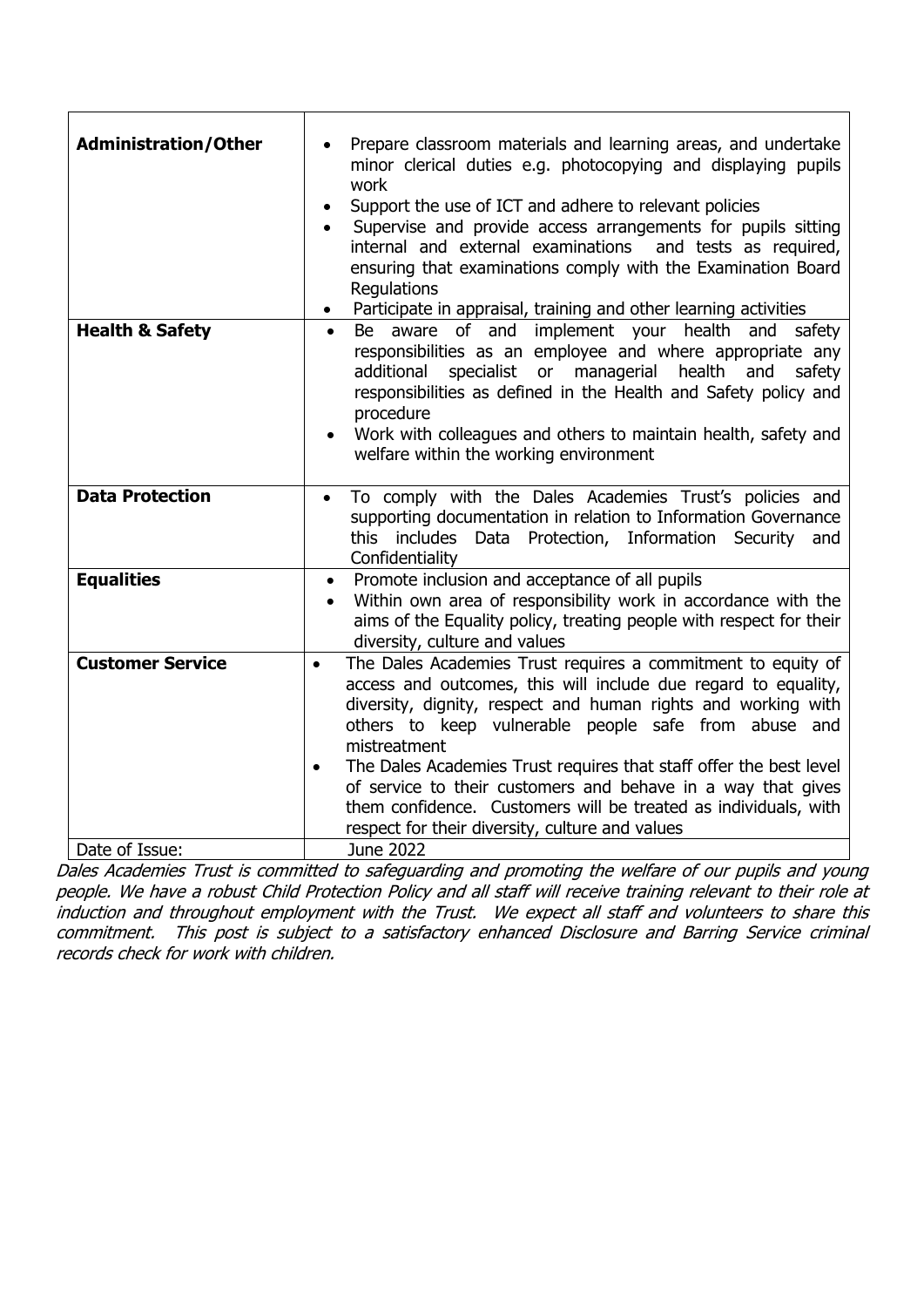| <b>Administration/Other</b>               | Prepare classroom materials and learning areas, and undertake<br>minor clerical duties e.g. photocopying and displaying pupils<br>work<br>Support the use of ICT and adhere to relevant policies<br>Supervise and provide access arrangements for pupils sitting<br>internal and external examinations<br>and tests as required,<br>ensuring that examinations comply with the Examination Board<br>Regulations<br>• Participate in appraisal, training and other learning activities                                                                         |  |  |
|-------------------------------------------|---------------------------------------------------------------------------------------------------------------------------------------------------------------------------------------------------------------------------------------------------------------------------------------------------------------------------------------------------------------------------------------------------------------------------------------------------------------------------------------------------------------------------------------------------------------|--|--|
| <b>Health &amp; Safety</b>                | Be aware of and implement your health and<br>safety<br>$\bullet$<br>responsibilities as an employee and where appropriate any<br>additional<br>specialist or managerial<br>health and<br>safety<br>responsibilities as defined in the Health and Safety policy and<br>procedure<br>Work with colleagues and others to maintain health, safety and<br>welfare within the working environment                                                                                                                                                                   |  |  |
| <b>Data Protection</b>                    | To comply with the Dales Academies Trust's policies and<br>$\bullet$<br>supporting documentation in relation to Information Governance<br>this includes Data<br>Protection, Information Security<br>and<br>Confidentiality                                                                                                                                                                                                                                                                                                                                    |  |  |
| <b>Equalities</b>                         | Promote inclusion and acceptance of all pupils<br>$\bullet$<br>Within own area of responsibility work in accordance with the<br>aims of the Equality policy, treating people with respect for their<br>diversity, culture and values                                                                                                                                                                                                                                                                                                                          |  |  |
| <b>Customer Service</b><br>Date of Issue: | The Dales Academies Trust requires a commitment to equity of<br>access and outcomes, this will include due regard to equality,<br>diversity, dignity, respect and human rights and working with<br>others to keep vulnerable people safe from abuse and<br>mistreatment<br>The Dales Academies Trust requires that staff offer the best level<br>$\bullet$<br>of service to their customers and behave in a way that gives<br>them confidence. Customers will be treated as individuals, with<br>respect for their diversity, culture and values<br>June 2022 |  |  |
|                                           |                                                                                                                                                                                                                                                                                                                                                                                                                                                                                                                                                               |  |  |

Dales Academies Trust is committed to safeguarding and promoting the welfare of our pupils and young people. We have a robust Child Protection Policy and all staff will receive training relevant to their role at induction and throughout employment with the Trust. We expect all staff and volunteers to share this commitment. This post is subject to a satisfactory enhanced Disclosure and Barring Service criminal records check for work with children.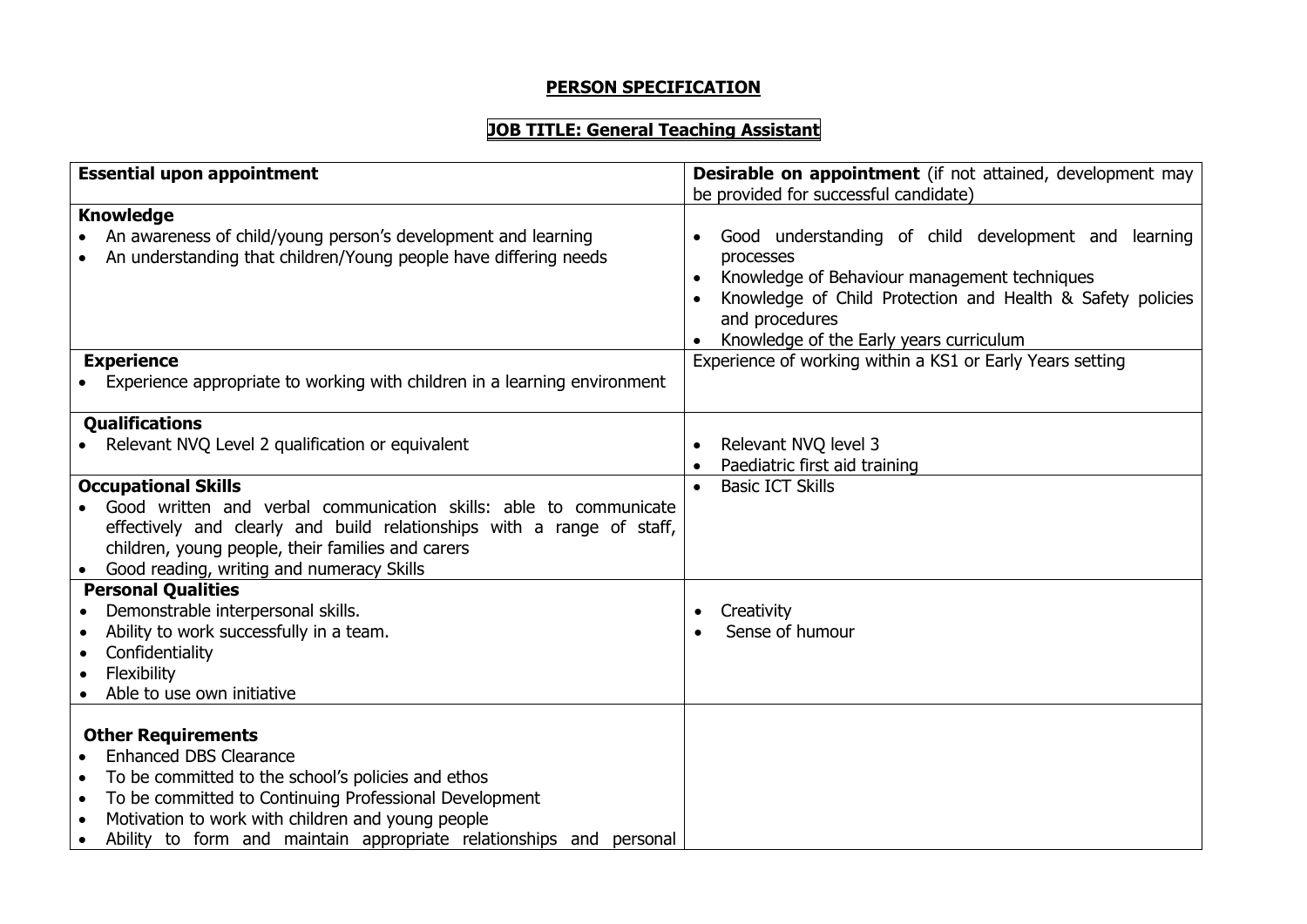### **PERSON SPECIFICATION**

## **JOB TITLE: General Teaching Assistant**

| <b>Essential upon appointment</b>                                                                                                                                                                                                            | <b>Desirable on appointment</b> (if not attained, development may<br>be provided for successful candidate)                                                                                                                                   |
|----------------------------------------------------------------------------------------------------------------------------------------------------------------------------------------------------------------------------------------------|----------------------------------------------------------------------------------------------------------------------------------------------------------------------------------------------------------------------------------------------|
| <b>Knowledge</b>                                                                                                                                                                                                                             |                                                                                                                                                                                                                                              |
| An awareness of child/young person's development and learning<br>An understanding that children/Young people have differing needs                                                                                                            | Good understanding of child development and learning<br>processes<br>Knowledge of Behaviour management techniques<br>Knowledge of Child Protection and Health & Safety policies<br>and procedures<br>Knowledge of the Early years curriculum |
| <b>Experience</b>                                                                                                                                                                                                                            | Experience of working within a KS1 or Early Years setting                                                                                                                                                                                    |
| • Experience appropriate to working with children in a learning environment                                                                                                                                                                  |                                                                                                                                                                                                                                              |
|                                                                                                                                                                                                                                              |                                                                                                                                                                                                                                              |
| <b>Qualifications</b>                                                                                                                                                                                                                        |                                                                                                                                                                                                                                              |
| • Relevant NVQ Level 2 qualification or equivalent                                                                                                                                                                                           | Relevant NVQ level 3                                                                                                                                                                                                                         |
|                                                                                                                                                                                                                                              | Paediatric first aid training                                                                                                                                                                                                                |
| <b>Occupational Skills</b>                                                                                                                                                                                                                   | <b>Basic ICT Skills</b>                                                                                                                                                                                                                      |
| Good written and verbal communication skills: able to communicate                                                                                                                                                                            |                                                                                                                                                                                                                                              |
| effectively and clearly and build relationships with a range of staff,                                                                                                                                                                       |                                                                                                                                                                                                                                              |
| children, young people, their families and carers                                                                                                                                                                                            |                                                                                                                                                                                                                                              |
| Good reading, writing and numeracy Skills                                                                                                                                                                                                    |                                                                                                                                                                                                                                              |
| <b>Personal Qualities</b>                                                                                                                                                                                                                    |                                                                                                                                                                                                                                              |
| Demonstrable interpersonal skills.                                                                                                                                                                                                           | Creativity                                                                                                                                                                                                                                   |
| Ability to work successfully in a team.                                                                                                                                                                                                      | Sense of humour                                                                                                                                                                                                                              |
| Confidentiality<br>$\bullet$                                                                                                                                                                                                                 |                                                                                                                                                                                                                                              |
| Flexibility                                                                                                                                                                                                                                  |                                                                                                                                                                                                                                              |
| Able to use own initiative                                                                                                                                                                                                                   |                                                                                                                                                                                                                                              |
| <b>Other Requirements</b><br><b>Enhanced DBS Clearance</b><br>To be committed to the school's policies and ethos<br>To be committed to Continuing Professional Development<br>$\bullet$<br>Motivation to work with children and young people |                                                                                                                                                                                                                                              |
| Ability to form and maintain appropriate relationships and personal<br>$\bullet$                                                                                                                                                             |                                                                                                                                                                                                                                              |